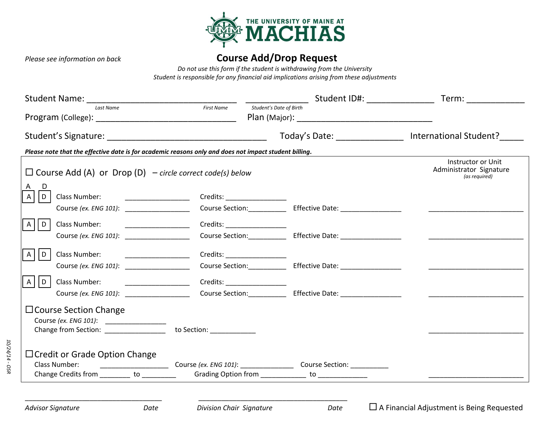

## *Please see information on back* **Course Add/Drop Request**

*Do not use this form if the student is withdrawing from the University Student is responsible for any financial aid implications arising from these adjustments* 

| Last Name                                                                                                                                                                                                                                                                                                                                                                                                                                                                             | <b>First Name</b> | Student's Date of Birth                               |  |                                                                |
|---------------------------------------------------------------------------------------------------------------------------------------------------------------------------------------------------------------------------------------------------------------------------------------------------------------------------------------------------------------------------------------------------------------------------------------------------------------------------------------|-------------------|-------------------------------------------------------|--|----------------------------------------------------------------|
| Student's Signature: Management of the Student's Signature:                                                                                                                                                                                                                                                                                                                                                                                                                           |                   |                                                       |  | Today's Date: ________________ International Student?_____     |
| Please note that the effective date is for academic reasons only and does not impact student billing.                                                                                                                                                                                                                                                                                                                                                                                 |                   |                                                       |  |                                                                |
| $\Box$ Course Add (A) or Drop (D) – circle correct code(s) below                                                                                                                                                                                                                                                                                                                                                                                                                      |                   |                                                       |  | Instructor or Unit<br>Administrator Signature<br>(as required) |
| Class Number:<br>D                                                                                                                                                                                                                                                                                                                                                                                                                                                                    |                   | Credits: ____________________                         |  |                                                                |
|                                                                                                                                                                                                                                                                                                                                                                                                                                                                                       |                   |                                                       |  |                                                                |
| $\mathsf{A}$<br>Class Number:<br>$\overline{\phantom{a}}$ , $\overline{\phantom{a}}$ , $\overline{\phantom{a}}$ , $\overline{\phantom{a}}$ , $\overline{\phantom{a}}$ , $\overline{\phantom{a}}$ , $\overline{\phantom{a}}$ , $\overline{\phantom{a}}$ , $\overline{\phantom{a}}$ , $\overline{\phantom{a}}$ , $\overline{\phantom{a}}$ , $\overline{\phantom{a}}$ , $\overline{\phantom{a}}$ , $\overline{\phantom{a}}$ , $\overline{\phantom{a}}$ , $\overline{\phantom{a}}$<br>l D |                   | Credits: ___________________                          |  |                                                                |
|                                                                                                                                                                                                                                                                                                                                                                                                                                                                                       |                   |                                                       |  |                                                                |
| Class Number:<br>$\mathsf{A}$<br>I D                                                                                                                                                                                                                                                                                                                                                                                                                                                  |                   |                                                       |  |                                                                |
| Course (ex. ENG 101):                                                                                                                                                                                                                                                                                                                                                                                                                                                                 |                   |                                                       |  |                                                                |
| $\mathsf{A}$<br>$\mathsf{D}$                                                                                                                                                                                                                                                                                                                                                                                                                                                          |                   | Credits: _____________________                        |  |                                                                |
|                                                                                                                                                                                                                                                                                                                                                                                                                                                                                       |                   |                                                       |  |                                                                |
| $\Box$ Course Section Change<br>Course (ex. ENG 101): _________________<br>Change from Section: __________________ to Section: ____________                                                                                                                                                                                                                                                                                                                                           |                   |                                                       |  |                                                                |
| $\Box$ Credit or Grade Option Change<br>Class Number:                                                                                                                                                                                                                                                                                                                                                                                                                                 |                   |                                                       |  |                                                                |
| Change Credits from ________ to ________                                                                                                                                                                                                                                                                                                                                                                                                                                              |                   | Grading Option from _______________ to ______________ |  |                                                                |

\_\_\_\_\_\_\_\_\_\_\_\_\_\_\_\_\_\_\_\_\_\_\_\_\_\_\_\_\_\_\_\_\_\_\_\_\_\_\_

*10/24/14 - OSR*

\_\_\_\_\_\_\_\_\_\_\_\_\_\_\_\_\_\_\_\_\_\_\_\_\_\_\_\_\_\_\_\_\_\_\_\_